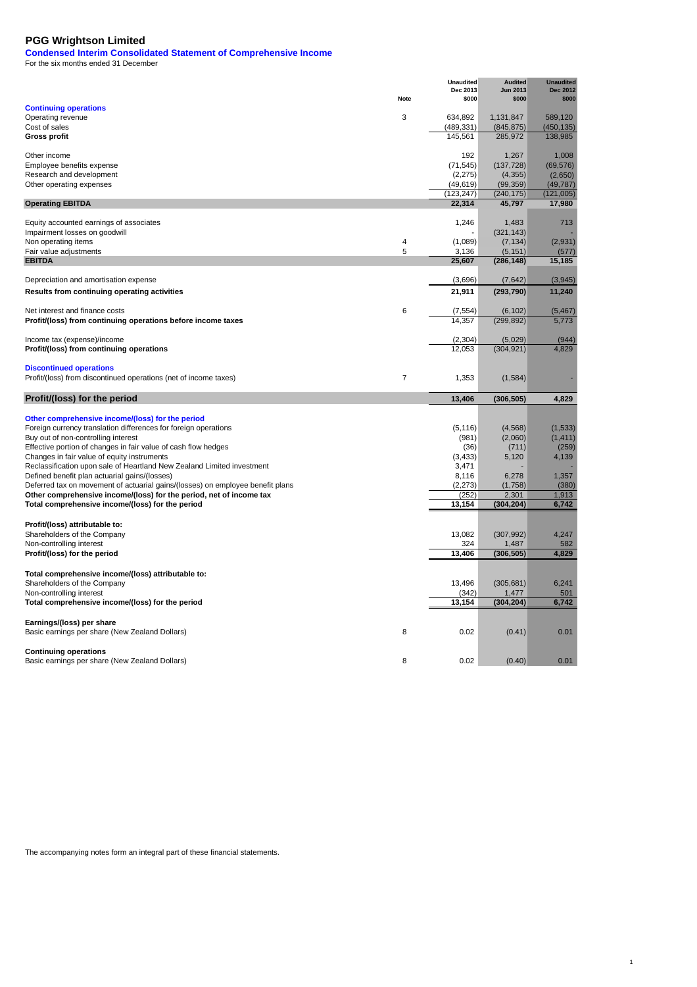**Condensed Interim Consolidated Statement of Comprehensive Income**

For the six months ended 31 December

| <b>Continuing operations</b>                                                   | Note           | <b>Unaudited</b><br>Dec 2013<br>\$000 | <b>Audited</b><br><b>Jun 2013</b><br>\$000 | <b>Unaudited</b><br><b>Dec 2012</b><br>\$000 |
|--------------------------------------------------------------------------------|----------------|---------------------------------------|--------------------------------------------|----------------------------------------------|
| Operating revenue                                                              | 3              | 634,892                               | 1,131,847                                  | 589,120                                      |
| Cost of sales                                                                  |                | (489, 331)                            | (845, 875)                                 | (450, 135)                                   |
| <b>Gross profit</b>                                                            |                | 145,561                               | 285,972                                    | 138,985                                      |
| Other income                                                                   |                | 192                                   | 1,267                                      | 1,008                                        |
| Employee benefits expense                                                      |                | (71, 545)                             | (137, 728)                                 | (69, 576)                                    |
| Research and development                                                       |                | (2,275)                               | (4, 355)                                   | (2,650)                                      |
| Other operating expenses                                                       |                | (49, 619)<br>(123, 247)               | (99, 359)<br>(240, 175)                    | (49, 787)<br>(121, 005)                      |
| <b>Operating EBITDA</b>                                                        |                | 22,314                                | 45,797                                     | 17,980                                       |
| Equity accounted earnings of associates                                        |                | 1.246                                 | 1,483                                      | 713                                          |
| Impairment losses on goodwill                                                  |                |                                       | (321, 143)                                 |                                              |
| Non operating items                                                            | 4              | (1,089)                               | (7, 134)                                   | (2,931)                                      |
| Fair value adjustments                                                         | 5              | 3,136                                 | (5, 151)                                   | (577)                                        |
| <b>EBITDA</b>                                                                  |                | 25,607                                | (286, 148)                                 | 15,185                                       |
| Depreciation and amortisation expense                                          |                | (3,696)                               | (7,642)                                    | (3,945)                                      |
| Results from continuing operating activities                                   |                | 21,911                                | (293, 790)                                 | 11,240                                       |
| Net interest and finance costs                                                 | 6              | (7, 554)                              | (6, 102)                                   | (5, 467)                                     |
| Profit/(loss) from continuing operations before income taxes                   |                | 14,357                                | (299, 892)                                 | 5,773                                        |
| Income tax (expense)/income                                                    |                | (2, 304)                              | (5,029)                                    | (944)                                        |
| Profit/(loss) from continuing operations                                       |                | 12.053                                | (304, 921)                                 | 4,829                                        |
| <b>Discontinued operations</b>                                                 |                |                                       |                                            |                                              |
| Profit/(loss) from discontinued operations (net of income taxes)               | $\overline{7}$ | 1,353                                 | (1,584)                                    |                                              |
| Profit/(loss) for the period                                                   |                | 13,406                                | (306, 505)                                 | 4,829                                        |
| Other comprehensive income/(loss) for the period                               |                |                                       |                                            |                                              |
| Foreign currency translation differences for foreign operations                |                | (5, 116)                              | (4, 568)                                   | (1, 533)                                     |
| Buy out of non-controlling interest                                            |                | (981)                                 | (2,060)                                    | (1, 411)                                     |
| Effective portion of changes in fair value of cash flow hedges                 |                | (36)                                  | (711)                                      | (259)                                        |
| Changes in fair value of equity instruments                                    |                | (3, 433)                              | 5,120                                      | 4,139                                        |
| Reclassification upon sale of Heartland New Zealand Limited investment         |                | 3,471                                 |                                            |                                              |
| Defined benefit plan actuarial gains/(losses)                                  |                | 8,116                                 | 6,278                                      | 1,357                                        |
| Deferred tax on movement of actuarial gains/(losses) on employee benefit plans |                | (2, 273)                              | (1,758)                                    | (380)                                        |
| Other comprehensive income/(loss) for the period, net of income tax            |                | (252)                                 | 2,301                                      | 1,913                                        |
| Total comprehensive income/(loss) for the period                               |                | 13,154                                | (304, 204)                                 | 6,742                                        |
| Profit/(loss) attributable to:                                                 |                |                                       |                                            |                                              |
| Shareholders of the Company                                                    |                | 13,082                                | (307, 992)                                 | 4,247                                        |
| Non-controlling interest                                                       |                | 324                                   | 1,487                                      | 582                                          |
| Profit/(loss) for the period                                                   |                | 13,406                                | (306, 505)                                 | 4,829                                        |
| Total comprehensive income/(loss) attributable to:                             |                |                                       |                                            |                                              |
| Shareholders of the Company                                                    |                | 13,496                                | (305, 681)                                 | 6,241                                        |
| Non-controlling interest                                                       |                | (342)                                 | 1,477                                      | 501                                          |
| Total comprehensive income/(loss) for the period                               |                | 13,154                                | (304, 204)                                 | 6,742                                        |
| Earnings/(loss) per share                                                      |                |                                       |                                            |                                              |
| Basic earnings per share (New Zealand Dollars)                                 | 8              | 0.02                                  | (0.41)                                     | 0.01                                         |
| <b>Continuing operations</b>                                                   |                |                                       |                                            |                                              |
| Basic earnings per share (New Zealand Dollars)                                 | 8              | 0.02                                  | (0.40)                                     | 0.01                                         |

1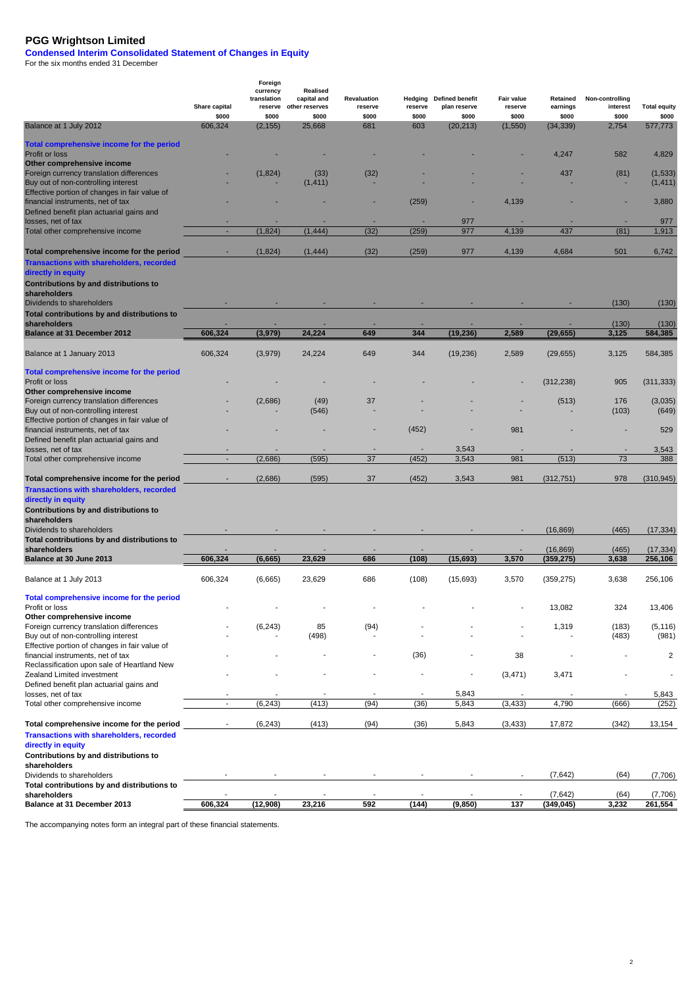#### **Condensed Interim Consolidated Statement of Changes in Equity**

For the six months ended 31 December

|                                                                |                          | Foreign                 |                                |                    |         |                          |            |                         |                 |                      |
|----------------------------------------------------------------|--------------------------|-------------------------|--------------------------------|--------------------|---------|--------------------------|------------|-------------------------|-----------------|----------------------|
|                                                                |                          | currency<br>translation | <b>Realised</b><br>capital and | <b>Revaluation</b> | Hedging | <b>Defined benefit</b>   | Fair value | Retained                | Non-controlling |                      |
|                                                                | Share capital            | reserve                 | other reserves                 | reserve            | reserve | plan reserve             | reserve    | earnings                | interest        | <b>Total equity</b>  |
|                                                                | \$000                    | \$000                   | \$000                          | \$000              | \$000   | \$000                    | \$000      | \$000                   | \$000           | \$000                |
| Balance at 1 July 2012                                         | 606,324                  | (2, 155)                | 25,668                         | 681                | 603     | (20, 213)                | (1,550)    | (34, 339)               | 2,754           | 577,773              |
| Total comprehensive income for the period                      |                          |                         |                                |                    |         |                          |            |                         |                 |                      |
| Profit or loss                                                 |                          |                         |                                |                    |         |                          |            | 4,247                   | 582             | 4,829                |
| Other comprehensive income                                     |                          |                         |                                |                    |         |                          |            |                         |                 |                      |
| Foreign currency translation differences                       |                          | (1,824)                 | (33)                           | (32)               |         |                          |            | 437                     | (81)            | (1, 533)             |
| Buy out of non-controlling interest                            |                          |                         | (1, 411)                       |                    |         |                          |            |                         |                 | (1, 411)             |
| Effective portion of changes in fair value of                  |                          |                         |                                |                    |         |                          |            |                         |                 |                      |
| financial instruments, net of tax                              |                          |                         |                                |                    | (259)   |                          | 4,139      |                         |                 | 3,880                |
| Defined benefit plan actuarial gains and                       |                          |                         |                                |                    |         |                          |            |                         |                 |                      |
| losses, net of tax<br>Total other comprehensive income         |                          | (1,824)                 | (1, 444)                       | (32)               | (259)   | 977<br>977               | 4,139      | 437                     | (81)            | 977<br>1,913         |
|                                                                |                          |                         |                                |                    |         |                          |            |                         |                 |                      |
| Total comprehensive income for the period                      |                          | (1,824)                 | (1, 444)                       | (32)               | (259)   | 977                      | 4,139      | 4,684                   | 501             | 6,742                |
| <b>Transactions with shareholders, recorded</b>                |                          |                         |                                |                    |         |                          |            |                         |                 |                      |
| directly in equity                                             |                          |                         |                                |                    |         |                          |            |                         |                 |                      |
| <b>Contributions by and distributions to</b>                   |                          |                         |                                |                    |         |                          |            |                         |                 |                      |
| shareholders                                                   |                          |                         |                                |                    |         |                          |            |                         |                 |                      |
| Dividends to shareholders                                      |                          |                         |                                |                    |         |                          |            |                         | (130)           | (130)                |
| Total contributions by and distributions to                    |                          |                         |                                |                    |         |                          |            |                         |                 |                      |
| shareholders                                                   |                          |                         |                                |                    |         |                          |            |                         | (130)           | (130)                |
| <b>Balance at 31 December 2012</b>                             | 606,324                  | (3,979)                 | 24,224                         | 649                | 344     | (19, 236)                | 2,589      | (29, 655)               | 3,125           | 584,385              |
|                                                                |                          |                         |                                |                    |         |                          |            |                         |                 |                      |
| Balance at 1 January 2013                                      | 606,324                  | (3,979)                 | 24,224                         | 649                | 344     | (19, 236)                | 2,589      | (29, 655)               | 3,125           | 584,385              |
| Total comprehensive income for the period                      |                          |                         |                                |                    |         |                          |            |                         |                 |                      |
| Profit or loss                                                 |                          |                         |                                |                    |         |                          |            | (312, 238)              | 905             | (311,333)            |
| Other comprehensive income                                     |                          |                         |                                |                    |         |                          |            |                         |                 |                      |
| Foreign currency translation differences                       |                          | (2,686)                 | (49)                           | 37                 |         |                          |            | (513)                   | 176             | (3,035)              |
| Buy out of non-controlling interest                            |                          |                         | (546)                          |                    |         |                          |            |                         | (103)           | (649)                |
| Effective portion of changes in fair value of                  |                          |                         |                                |                    |         |                          |            |                         |                 |                      |
| financial instruments, net of tax                              |                          |                         |                                |                    | (452)   |                          | 981        |                         |                 | 529                  |
| Defined benefit plan actuarial gains and                       |                          |                         |                                |                    |         |                          |            |                         |                 |                      |
| losses, net of tax                                             |                          |                         |                                |                    |         | 3,543                    |            |                         |                 | 3,543                |
| Total other comprehensive income                               |                          | (2,686)                 | (595)                          | 37                 | (452)   | 3,543                    | 981        | (513)                   | 73              | 388                  |
|                                                                |                          |                         |                                |                    |         |                          |            |                         |                 |                      |
| Total comprehensive income for the period                      |                          | (2,686)                 | (595)                          | 37                 | (452)   | 3,543                    | 981        | (312, 751)              | 978             | (310, 945)           |
| <b>Transactions with shareholders, recorded</b>                |                          |                         |                                |                    |         |                          |            |                         |                 |                      |
| directly in equity                                             |                          |                         |                                |                    |         |                          |            |                         |                 |                      |
| Contributions by and distributions to                          |                          |                         |                                |                    |         |                          |            |                         |                 |                      |
| shareholders                                                   |                          |                         |                                |                    |         |                          |            |                         |                 |                      |
| Dividends to shareholders                                      |                          |                         |                                |                    |         |                          |            | (16, 869)               | (465)           | (17,334)             |
| Total contributions by and distributions to                    |                          |                         |                                |                    |         |                          |            |                         |                 |                      |
| shareholders<br>Balance at 30 June 2013                        | 606.324                  | (6,665)                 | 23.629                         | 686                | (108)   | (15, 693)                | 3,570      | (16, 869)<br>(359, 275) | (465)<br>3,638  | (17, 334)<br>256,106 |
|                                                                |                          |                         |                                |                    |         |                          |            |                         |                 |                      |
| Balance at 1 July 2013                                         | 606,324                  | (6,665)                 | 23,629                         | 686                | (108)   | (15,693)                 | 3,570      | (359, 275)              | 3,638           | 256,106              |
|                                                                |                          |                         |                                |                    |         |                          |            |                         |                 |                      |
| Total comprehensive income for the period                      |                          |                         |                                |                    |         |                          |            |                         |                 |                      |
| Profit or loss                                                 |                          |                         |                                |                    |         |                          |            | 13,082                  | 324             | 13,406               |
| Other comprehensive income                                     |                          |                         |                                |                    |         |                          |            |                         |                 |                      |
| Foreign currency translation differences                       |                          | (6, 243)                | 85                             | (94)               |         |                          |            | 1,319                   | (183)           | (5, 116)             |
| Buy out of non-controlling interest                            |                          |                         | (498)                          |                    |         |                          |            |                         | (483)           | (981)                |
| Effective portion of changes in fair value of                  |                          |                         |                                |                    |         |                          |            |                         |                 |                      |
| financial instruments, net of tax                              |                          |                         |                                |                    | (36)    | $\overline{\phantom{m}}$ | 38         |                         |                 | 2                    |
| Reclassification upon sale of Heartland New                    |                          |                         |                                |                    |         |                          |            |                         |                 |                      |
| Zealand Limited investment                                     |                          |                         |                                |                    |         | $\overline{\phantom{a}}$ | (3, 471)   | 3,471                   |                 |                      |
| Defined benefit plan actuarial gains and<br>losses, net of tax |                          |                         |                                |                    |         | 5,843                    |            |                         |                 | 5,843                |
| Total other comprehensive income                               | $\blacksquare$           | (6, 243)                | (413)                          | (94)               | (36)    | 5,843                    | (3, 433)   | 4,790                   | (666)           | (252)                |
|                                                                |                          |                         |                                |                    |         |                          |            |                         |                 |                      |
| Total comprehensive income for the period                      | $\overline{\phantom{a}}$ | (6, 243)                | (413)                          | (94)               | (36)    | 5,843                    | (3, 433)   | 17,872                  | (342)           | 13,154               |
| <b>Transactions with shareholders, recorded</b>                |                          |                         |                                |                    |         |                          |            |                         |                 |                      |
| directly in equity                                             |                          |                         |                                |                    |         |                          |            |                         |                 |                      |
| Contributions by and distributions to                          |                          |                         |                                |                    |         |                          |            |                         |                 |                      |
| shareholders                                                   |                          |                         |                                |                    |         |                          |            |                         |                 |                      |
| Dividends to shareholders                                      |                          |                         |                                |                    |         |                          |            | (7,642)                 | (64)            | (7,706)              |
| Total contributions by and distributions to                    |                          |                         |                                |                    |         |                          |            |                         |                 |                      |
| shareholders                                                   |                          |                         |                                |                    |         |                          |            | (7,642)                 | (64)            | (7,706)              |
| Balance at 31 December 2013                                    | 606,324                  | (12,908)                | 23,216                         | 592                | (144)   | (9, 850)                 | 137        | (349, 045)              | 3,232           | 261,554              |

2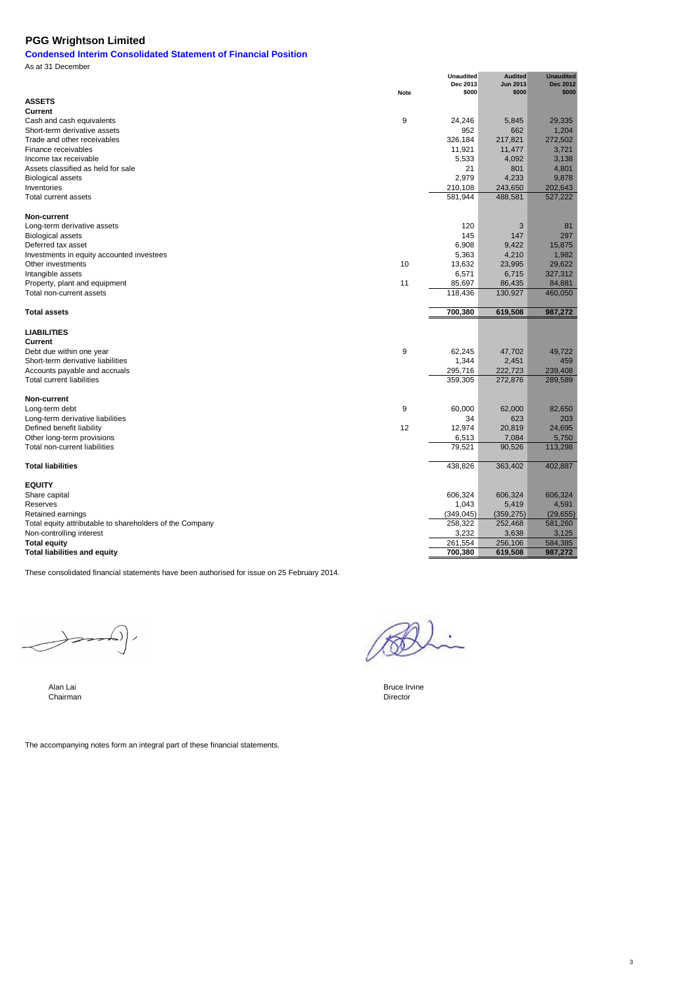# **Condensed Interim Consolidated Statement of Financial Position** As at 31 December

|                                                          | Note | <b>Unaudited</b><br>Dec 2013<br>\$000 | <b>Audited</b><br><b>Jun 2013</b><br>\$000 | <b>Unaudited</b><br><b>Dec 2012</b><br>\$000 |
|----------------------------------------------------------|------|---------------------------------------|--------------------------------------------|----------------------------------------------|
| <b>ASSETS</b>                                            |      |                                       |                                            |                                              |
| Current                                                  |      |                                       |                                            |                                              |
| Cash and cash equivalents                                | 9    | 24,246                                | 5,845                                      | 29,335                                       |
| Short-term derivative assets                             |      | 952                                   | 662                                        | 1,204                                        |
| Trade and other receivables                              |      | 326,184                               | 217,821                                    | 272,502                                      |
| Finance receivables                                      |      | 11,921                                | 11,477                                     | 3,721                                        |
| Income tax receivable                                    |      | 5,533                                 | 4,092                                      | 3,138                                        |
| Assets classified as held for sale                       |      | 21                                    | 801                                        | 4,801                                        |
| <b>Biological assets</b>                                 |      | 2,979                                 | 4,233                                      | 9,878                                        |
| Inventories                                              |      | 210,108                               | 243,650                                    | 202,643                                      |
| <b>Total current assets</b>                              |      | 581,944                               | 488,581                                    | 527,222                                      |
| Non-current                                              |      |                                       |                                            |                                              |
| Long-term derivative assets                              |      | 120                                   | 3                                          | 81                                           |
| <b>Biological assets</b>                                 |      | 145                                   | 147                                        | 297                                          |
| Deferred tax asset                                       |      | 6,908                                 | 9,422                                      | 15,875                                       |
| Investments in equity accounted investees                |      | 5,363                                 | 4,210                                      | 1,982                                        |
| Other investments                                        | 10   | 13,632                                | 23,995                                     | 29,622                                       |
| Intangible assets                                        |      | 6,571                                 | 6,715                                      | 327,312                                      |
| Property, plant and equipment                            | 11   | 85,697                                | 86,435                                     | 84,881                                       |
| Total non-current assets                                 |      | 118,436                               | 130,927                                    | 460,050                                      |
| <b>Total assets</b>                                      |      | 700,380                               | 619,508                                    | 987,272                                      |
| <b>LIABILITIES</b>                                       |      |                                       |                                            |                                              |
| Current                                                  |      |                                       |                                            |                                              |
| Debt due within one year                                 | 9    | 62,245                                | 47,702                                     | 49.722                                       |
| Short-term derivative liabilities                        |      | 1,344                                 | 2,451                                      | 459                                          |
| Accounts payable and accruals                            |      | 295,716                               | 222,723                                    | 239,408                                      |
| <b>Total current liabilities</b>                         |      | 359,305                               | 272,876                                    | 289,589                                      |
| Non-current                                              |      |                                       |                                            |                                              |
| Long-term debt                                           | 9    | 60,000                                | 62,000                                     | 82,650                                       |
| Long-term derivative liabilities                         |      | 34                                    | 623                                        | 203                                          |
| Defined benefit liability                                | 12   | 12,974                                | 20,819                                     | 24,695                                       |
| Other long-term provisions                               |      | 6,513                                 | 7,084                                      | 5,750                                        |
| Total non-current liabilities                            |      | 79,521                                | 90,526                                     | 113,298                                      |
| <b>Total liabilities</b>                                 |      | 438,826                               | 363,402                                    | 402,887                                      |
| <b>EQUITY</b>                                            |      |                                       |                                            |                                              |
| Share capital                                            |      | 606,324                               | 606,324                                    | 606,324                                      |
| Reserves                                                 |      | 1,043                                 | 5,419                                      | 4,591                                        |
| Retained earnings                                        |      | (349, 045)                            | (359, 275)                                 | (29, 655)                                    |
| Total equity attributable to shareholders of the Company |      | 258,322                               | 252,468                                    | 581,260                                      |
| Non-controlling interest                                 |      | 3,232                                 | 3,638                                      | 3,125                                        |
| <b>Total equity</b>                                      |      | 261,554                               | 256,106                                    | 584,385                                      |
| <b>Total liabilities and equity</b>                      |      | 700,380                               | 619,508                                    | 987,272                                      |

These consolidated financial statements have been authorised for issue on 25 February 2014.

 $\begin{picture}(120,10) \put(0,0){\dashbox{0.5}(120,0){ }} \put(120,0){\dashbox{0.5}(120,0){ }} \put(120,0){\dashbox{0.5}(120,0){ }} \put(120,0){\dashbox{0.5}(120,0){ }} \put(120,0){\dashbox{0.5}(120,0){ }} \put(120,0){\dashbox{0.5}(120,0){ }} \put(120,0){\dashbox{0.5}(120,0){ }} \put(120,0){\dashbox{0.5}(120,0){ }} \put(120,0){\dashbox{0.5}(1$  $\left( \bigtriangleup \right)$ 

Alan Lai Bruce Irvine Chairman and the Chairman and the Chairman and the Chairman and the Chairman and the Chairman and the Chairman and the Chairman and the Chairman and the Chairman and the Chairman and the Chairman and **Chairman** Director Chairman Director Chairman Director Chairman Director Chairman Director Chairman Director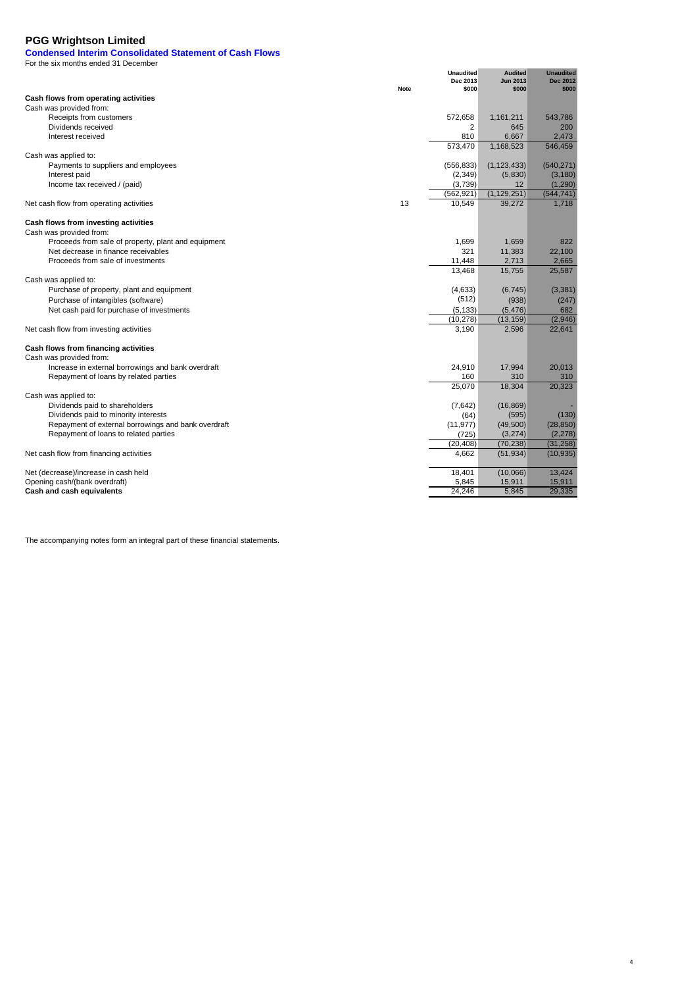For the six months ended 31 December

**Condensed Interim Consolidated Statement of Cash Flows**

|                                                                                             | Note | <b>Unaudited</b><br>Dec 2013<br>\$000 | <b>Audited</b><br><b>Jun 2013</b><br>\$000 | <b>Unaudited</b><br><b>Dec 2012</b><br>\$000 |
|---------------------------------------------------------------------------------------------|------|---------------------------------------|--------------------------------------------|----------------------------------------------|
| Cash flows from operating activities                                                        |      |                                       |                                            |                                              |
| Cash was provided from:                                                                     |      |                                       |                                            |                                              |
| Receipts from customers                                                                     |      | 572,658                               | 1,161,211                                  | 543,786                                      |
| Dividends received                                                                          |      | 2                                     | 645                                        | 200                                          |
| Interest received                                                                           |      | 810                                   | 6,667                                      | 2,473                                        |
|                                                                                             |      | 573,470                               | 1,168,523                                  | 546,459                                      |
| Cash was applied to:                                                                        |      |                                       |                                            |                                              |
| Payments to suppliers and employees                                                         |      | (556, 833)                            | (1, 123, 433)                              | (540, 271)                                   |
| Interest paid                                                                               |      | (2,349)                               | (5,830)                                    | (3, 180)                                     |
| Income tax received / (paid)                                                                |      | (3,739)                               | $12 \overline{ }$                          | (1, 290)                                     |
|                                                                                             |      | (562, 921)                            | (1, 129, 251)                              | (544, 741)                                   |
| Net cash flow from operating activities                                                     | 13   | 10,549                                | 39,272                                     | 1,718                                        |
| Cash flows from investing activities                                                        |      |                                       |                                            |                                              |
| Cash was provided from:                                                                     |      |                                       |                                            |                                              |
| Proceeds from sale of property, plant and equipment                                         |      | 1,699                                 | 1,659                                      | 822                                          |
| Net decrease in finance receivables                                                         |      | 321                                   | 11,383                                     | 22,100                                       |
| Proceeds from sale of investments                                                           |      | 11,448                                | 2,713                                      | 2,665                                        |
|                                                                                             |      | 13,468                                | 15,755                                     | 25,587                                       |
| Cash was applied to:                                                                        |      |                                       |                                            |                                              |
| Purchase of property, plant and equipment                                                   |      | (4,633)                               | (6, 745)                                   | (3, 381)                                     |
| Purchase of intangibles (software)                                                          |      | (512)                                 | (938)                                      | (247)                                        |
| Net cash paid for purchase of investments                                                   |      | (5, 133)                              | (5, 476)                                   | 682                                          |
|                                                                                             |      | (10, 278)                             | (13, 159)                                  | (2,946)                                      |
| Net cash flow from investing activities                                                     |      | 3,190                                 | 2,596                                      | 22,641                                       |
| Cash flows from financing activities                                                        |      |                                       |                                            |                                              |
| Cash was provided from:                                                                     |      |                                       |                                            |                                              |
| Increase in external borrowings and bank overdraft                                          |      | 24,910                                | 17,994                                     | 20,013                                       |
| Repayment of loans by related parties                                                       |      | 160                                   | 310                                        | 310                                          |
|                                                                                             |      | 25.070                                | 18,304                                     | 20,323                                       |
| Cash was applied to:                                                                        |      |                                       |                                            |                                              |
| Dividends paid to shareholders                                                              |      | (7,642)                               | (16, 869)                                  |                                              |
| Dividends paid to minority interests<br>Repayment of external borrowings and bank overdraft |      | (64)<br>(11, 977)                     | (595)<br>(49,500)                          | (130)<br>(28, 850)                           |
| Repayment of loans to related parties                                                       |      | (725)                                 | (3,274)                                    | (2, 278)                                     |
|                                                                                             |      | (20, 408)                             | (70, 238)                                  | (31, 258)                                    |
| Net cash flow from financing activities                                                     |      | 4,662                                 | (51, 934)                                  | (10, 935)                                    |
| Net (decrease)/increase in cash held                                                        |      | 18,401                                | (10,066)                                   | 13,424                                       |
| Opening cash/(bank overdraft)                                                               |      | 5,845                                 | 15,911                                     | 15,911                                       |
| Cash and cash equivalents                                                                   |      | 24.246                                | 5.845                                      | 29,335                                       |

4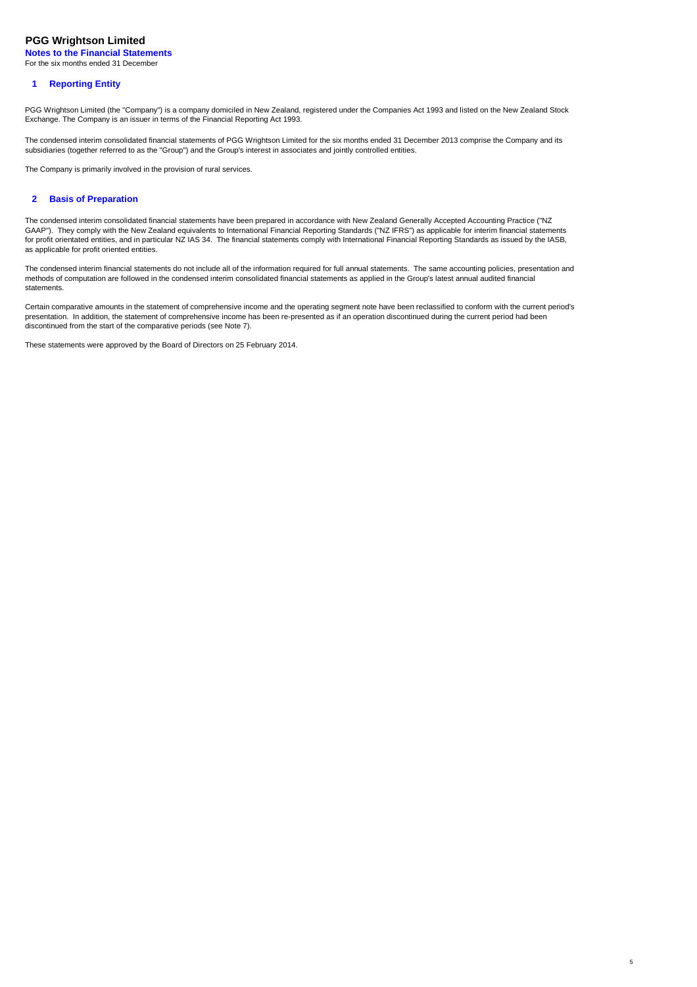**Notes to the Financial Statements** For the six months ended 31 December

# **1 Reporting Entity**

PGG Wrightson Limited (the "Company") is a company domiciled in New Zealand, registered under the Companies Act 1993 and listed on the New Zealand Stock Exchange. The Company is an issuer in terms of the Financial Reporting Act 1993.

The condensed interim consolidated financial statements of PGG Wrightson Limited for the six months ended 31 December 2013 comprise the Company and its subsidiaries (together referred to as the "Group") and the Group's interest in associates and jointly controlled entities.

The Company is primarily involved in the provision of rural services.

# **2 Basis of Preparation**

The condensed interim consolidated financial statements have been prepared in accordance with New Zealand Generally Accepted Accounting Practice ("NZ GAAP"). They comply with the New Zealand equivalents to International Financial Reporting Standards ("NZ IFRS") as applicable for interim financial statements for profit orientated entities, and in particular NZ IAS 34. The financial statements comply with International Financial Reporting Standards as issued by the IASB, as applicable for profit oriented entities.

The condensed interim financial statements do not include all of the information required for full annual statements. The same accounting policies, presentation and methods of computation are followed in the condensed interim consolidated financial statements as applied in the Group's latest annual audited financial statements.

Certain comparative amounts in the statement of comprehensive income and the operating segment note have been reclassified to conform with the current period's presentation. In addition, the statement of comprehensive income has been re-presented as if an operation discontinued during the current period had been discontinued from the start of the comparative periods (see Note 7).

5

These statements were approved by the Board of Directors on 25 February 2014.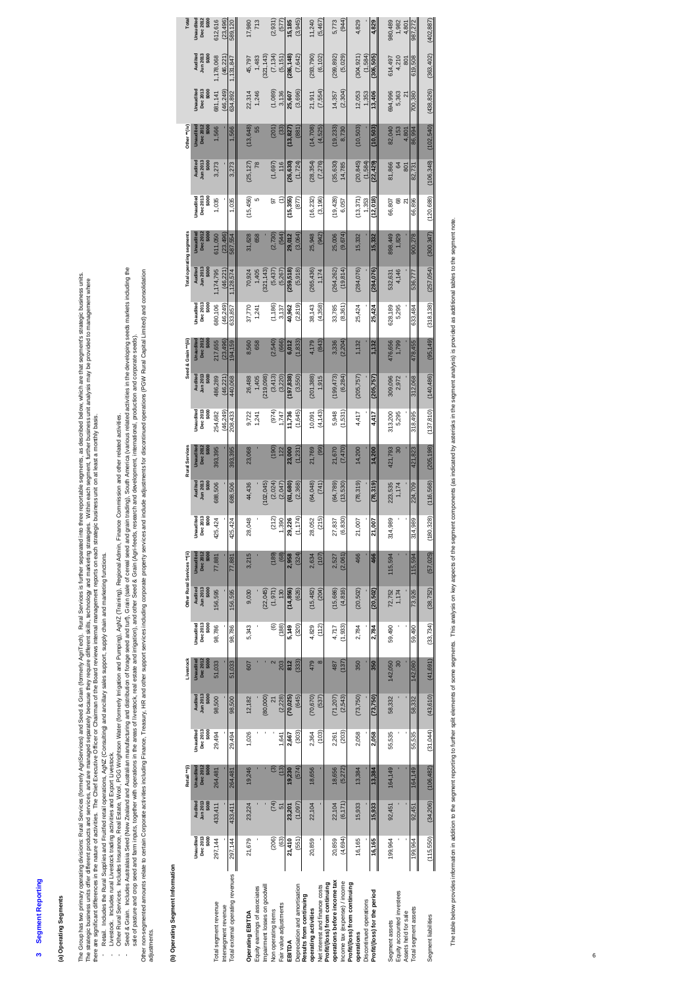# 3 Segment Reporting **3 Segment Reporting**

**(a) Operating Segments**<br>The Google and products Rual Service (krownly Agricultus) and Secula Coam (homal) Agricultus), Rual Secures studies studies that are approximately which are that express these operations which are The Group has two primary operating divisions: Rural Services (formerly Agrispevices) and Seed & Grain (formerly AgriTech). Rural Services is turber separated into three reportable separated below, which are that segments The strategic burits offer offerent products and ase managed separately because they require different skills, technology and marketing strategies. Within each segment, further business unit analysis may be provided to man there are significant differences in the nature of activities. The Chief Executive Officer or Chairman of the Board reviews internal management reports on each strategic business unit on at least a monthly basis.

- Retail. Includes the Rural Supplies and Fruitfed retail operations, AgNZ (Consulting) and ancillary sales support, supply chain and marketing functions.
- Livestock. Includes rural Livestock trading activities and Export Livestock.
- Other Rural Services. Includes Insurance, Real Estate, Wool, PGG Wrightson Water (formerly Irrigation and Pumping), AgNZ (Training), Regional Admin, Finance Commission and other related activities.

Seed & Grain. Includes Australaxia Seed (New Zealand and Australian manufacturing samb of forage seed and turin, Grain (sale of cereal seed and grain trading), South America (various related activities in the developing se call early eard crop seed and farm inputs, together with operations in the areas of livestock, real estate and infigation), and other Seed & Grain (Agri-feeds, research and development, international, production and compor

Other nove may allow the second adviting finance, Treasury, HR and other support services including corporate property services and include adjustments for discontinued operations (PGW Rural Capital Limited) and consolidat adjustments.

|                                   |            |                                          | Retail "0  |                  |                | <b>Ivestock</b>  |                  | Other Rural Services ** (ii) |                  |                                |                            | Rural Services   |                    | Seed & Grain ** (iii)      |                         |                                | Total operating segments                 |                            |                     | Other "(iv)  |                                |                          | Total                          |
|-----------------------------------|------------|------------------------------------------|------------|------------------|----------------|------------------|------------------|------------------------------|------------------|--------------------------------|----------------------------|------------------|--------------------|----------------------------|-------------------------|--------------------------------|------------------------------------------|----------------------------|---------------------|--------------|--------------------------------|--------------------------|--------------------------------|
|                                   | Unaudited  | Audited                                  | Unaudited  | <b>Jnaudited</b> | Audited        | <b>Unaudited</b> | <b>Jnaudited</b> | Audited                      | <b>Unaudited</b> |                                |                            | <b>Unaudited</b> | <b>Jnaudited</b>   |                            | <b>Jnauditec</b>        |                                | Unaudited                                | <b>Jnaudited</b>           |                     | Unaudited    |                                | Auditec                  |                                |
|                                   | Dec 2013   | Jun 2013                                 | Dec 2012   | Dec 2013         | lun 2013       | Dec 2012         | Dec 2013         | Jun 2013                     | Dec 2012         | Jnaudited<br>Dec 2013<br>\$000 | Audited<br>Jun 2013        | Dec 201          | Dec 2013<br>\$000  | Audited<br>Jun 2013        | Dec 2012<br>\$000       | Unaudited<br>Dec 2013<br>\$000 | Dec 2012<br>\$000<br>Audited<br>Jun 2013 |                            | Audited<br>Iun 2013 | Dec 2012     | Unaudited<br>Dec 2013<br>\$000 | Jun 2013                 | Unaudited<br>Dec 2012<br>\$000 |
|                                   | \$000      | \$000                                    | \$000      | \$000            | \$000          | \$000            | \$000            | \$000                        | \$000            |                                | \$000                      |                  |                    | \$000                      |                         |                                | \$000                                    |                            | \$000               |              |                                | \$000                    |                                |
| Total segment revenue             | 297,144    | 433,411                                  | 264,481    | 29,494           | 98,500         | 51,033           | 98,786           | 156,595                      | 77,881           | 125,424                        | 688,506                    | 393,395          | 254,682            | 186,289                    | 380,106<br>217,655      | 174,795                        | 511,050                                  | Dec 2013<br>\$000<br>1,035 | 3,273               | ,566         | 681,141                        | 178,068                  | 612,616                        |
| Intersegment revenue              |            |                                          |            |                  |                |                  |                  |                              |                  |                                |                            |                  | (46, 249)          | (46, 221)                  | (23, 496)               | (46, 221)<br>(46, 249)         | (23, 496)                                |                            |                     |              | (46, 249)                      | (46.221)                 | (23, 496)                      |
| Total external operating revenues | 297,144    | 433,411                                  | 264,481    | 29,494           | 98,500         | 51,033           | 98,786           | 156,595                      | 77,881           | 125,424                        | 688,506                    | 393,395          | 208,433            | 440,068                    | 633,857<br>194,159      | ,128,574                       | 587,554                                  | 1,035                      | 3,273               | ,566         | 634,892                        | ,131,847                 | 589,120                        |
|                                   |            |                                          |            |                  |                |                  |                  |                              |                  |                                |                            |                  |                    |                            |                         |                                |                                          |                            |                     |              |                                |                          |                                |
| Operating EBITDA                  | 21,679     | 23,224                                   | 19,246     | 1,026            | 12,182         | 607              | 5,343            | 9,030                        | 3,215            | 28,048                         | 44,436                     | 23,068           | 9,722              | 26,488                     | 8,560                   | 70,924<br>37,770               | 31,628                                   | (15, 456)                  | $(25, 127)$<br>78   | (13, 648)    | 22,314                         | 45,797                   | 17,980                         |
| Equity earnings of associates     |            |                                          |            |                  |                |                  |                  |                              |                  |                                |                            |                  | 1,241              | 1,405                      | 658                     | 1,405<br>1,241                 |                                          | 5<br>658                   |                     | 55           | 1,246                          | 1,483                    | 713                            |
| Impairment losses on goodwill     |            |                                          |            |                  | (80,000)       |                  |                  | (22, 045)                    |                  |                                | 102,045                    |                  |                    | 219,098                    |                         | 321,143                        |                                          |                            |                     |              |                                | 321,143                  |                                |
| Non operating items               | (206)      | $\begin{pmatrix} 74 \\ 51 \end{pmatrix}$ | ම          |                  | $\overline{2}$ |                  | ම                | (1, 971)                     | (189)            |                                | $(2,024)$<br>$(2,047)$     |                  | $(974)$<br>$(974)$ |                            | (2,540)                 | (5,437)<br>(1, 186)            | 2,730)                                   | 5                          | $(1,697)$<br>116    | (201)        | (1,089)                        | $(7, 134)$<br>$(5, 151)$ | (2, 931)                       |
| Fair value adjustments            | (63)       |                                          | (13)       | 1.641            | (2, 228)       | 203              | (188)            | 130                          | (68)             | $(212)$<br>$(2390)$            |                            | $(190)$<br>$122$ |                    | $(3, 413)$<br>$(3, 220)$   | (666)                   | (5, 267)<br>3,137              | (544)                                    | Ξ                          |                     | (33)         | 3,136                          |                          | (577)                          |
| EBITDA                            | 21,410     | 23,201                                   | 19,230     | 2,667            | (70, 025)      | 812              | 5,149            | (14, 856)                    | 2,958            | 29,226                         | (61, 680)                  | 23,000           | 11,736             | (197, 838)                 | 6,012                   | 259,518<br>40,962              | 29,012                                   | (15,355)                   | (26, 630)           | (13, 827)    | 25,607                         | (286, 148)               | 15,185                         |
| Depreciation and amortisation     | (551)      | (1.097)                                  | (574)      | (303)            | (645)          | (333)            | (320)            | (626)                        | (324)            | (1,174)                        | (2, 368)                   | (1, 231)         | (1,645)            | (3,550)                    | 1,833)                  | (5,918)<br>(2, 819)            | (3,064)                                  | (877)                      | (1, 724)            | (881)        | (3,696)                        | (7, 642)                 | (3,945)                        |
| Results from continuing           |            |                                          |            |                  |                |                  |                  |                              |                  |                                |                            |                  |                    |                            |                         |                                |                                          |                            |                     |              |                                |                          |                                |
| operating activities              | 20,859     | 22,104                                   | 18,656     | 2,364            | (70, 670)      | 479              | 4,829            | (15, 482)                    | 2,634            | 28,052                         | (64,048)                   | 21,769           | 10,091             | (201, 388)                 | 4,179                   | (265, 436)<br>38,143           | 25,948                                   | (16, 232)                  | (28, 354)           | (14, 708)    | 21,911                         | (293, 790)               | 11,240                         |
| Net interest and finance costs    |            |                                          |            | (103)            | (537)          | $\infty$         | (112)            | (204)                        | (107)            | (215)                          | (741)                      | (99)             | (4, 143)           | 1,915                      | (843)                   | 1,174<br>(4,358)               |                                          | (3, 196)<br>(942)          | (7, 276)            | (4,525)      | (7,554)                        | (6, 102)                 | (5,467)                        |
| Profit/(loss) from continuing     |            |                                          |            |                  |                |                  |                  |                              |                  |                                |                            |                  |                    |                            |                         |                                |                                          |                            |                     |              |                                |                          |                                |
| operations before income tax      | 20,859     | 22,104                                   | 18,656     | 2,261            | (71, 207)      | 487              | 4,717            | (15, 686)                    | 2,527            | 27,837                         | $(64, 789)$<br>$(13, 530)$ | 21,670           | 5,948              | $(199, 473)$<br>$(6, 284)$ | 3,336                   | (264, 262)<br>33,785           | 25,006                                   | (19, 428)                  | (35, 630)           | (19, 233)    | 14,357                         | (299, 892)               | 5,773                          |
| Income tax (expense) / income     | (4, 694)   | (6, 171)                                 | (5, 272)   | (203)            | (2, 543)       | (137)            | (1,933)          | (4, 816)                     | (2,061)          | (6, 830)                       |                            | (7, 470)         | (1,531)            |                            | (2, 204)                | (19, 814)<br>(8, 361)          | (9,674)                                  | 6,057                      | 14,785              | 8,730        | (2, 304)                       | (5,029)                  | (944)                          |
| Profit/(loss) from continuing     |            |                                          |            |                  |                |                  |                  |                              |                  |                                |                            |                  |                    |                            |                         |                                |                                          |                            |                     |              |                                |                          |                                |
| operations                        | 16,165     | 15,933                                   | 13,384     | 2,058            | (73, 750)      | 350              | 2,784            | (20, 502)                    | 466              | 21,007                         | (78, 319)                  | 14,200           | 4,417              | (205, 757)                 | 25,424<br>1,132         | (284, 076)                     | 15,332                                   | (13, 371)                  | (20, 845)           | (10, 503)    | 12,053                         | (304, 921)               | 4,829                          |
| Discontinued operations           |            |                                          |            |                  |                |                  |                  |                              |                  |                                |                            |                  |                    |                            |                         |                                |                                          | 1,353                      | (1,584)             |              | 1,353                          | (1,584)                  |                                |
| Profit/(loss) for the period      | 16,165     | 15,933                                   | 13,384     | 2,058            | (73, 750)      | 350              | 2,784            | (20, 502)                    | 466              | 21,007                         | (78,319)                   | 14,200           | 4,417              | (205, 757)                 | 1,132                   | (284, 076)<br>25,424           | 15,332                                   | (12,018)                   | (22, 429)           | (10, 503)    | 13,406                         | (306, 505)               | 4,829                          |
|                                   |            |                                          |            |                  |                |                  |                  |                              |                  |                                |                            |                  |                    |                            |                         |                                |                                          |                            |                     |              |                                |                          |                                |
| Segment assets                    | 199,964    | 92,451                                   | 164,149    | 55,535           | 58,332         | 142,050          | 59,490           | 72,752                       | 115,594          | 314,989                        | 223,535                    | 421,793          | 313,200            | 476,656<br>309,096         | 528,189                 | 532,631                        | 898,449                                  | 66,807                     | 81,866              | 82,040       | 694,996                        | 614,497                  | 380,489                        |
| Equity accounted investees        |            |                                          |            |                  |                | 30               |                  | 1,174                        |                  |                                | 1,174                      | 80               | 5,295              | 2,972                      | 1,799                   | 4,146<br>5,295                 | 1,829                                    | $rac{8}{21}$               | 64<br>801           | 153<br>4,801 | 5,363<br>21                    | 4,210<br>801             | 1,982                          |
| Assets held for sale              |            |                                          |            |                  |                |                  |                  |                              |                  |                                |                            |                  |                    |                            |                         |                                |                                          |                            |                     |              |                                |                          | 4,801                          |
| Total segment assets              | 199,964    | 92,451                                   | 164,149    | 55,535           | 58,332         | 142,080          | 59,490           | 73,926                       | 115,594          | 114,989                        | 224,709                    | 421,823          | 318,495            | 478,455<br>312,068         | 633,484                 | 536,77                         | 300,278                                  | 66,896                     | 82,731              | 86,994       | 700,380                        | 619,508                  | 987,272                        |
| Segment liabilities               | (115, 550) | (34, 206)                                | (106, 482) | (31, 044)        | (43, 610)      | (41, 691)        | (33, 734)        | (38, 752)                    | (57, 025)        | 80,328)                        | (116, 568)                 | (205, 198)       | 137,810)           | (140, 486)                 | (318, 138)<br>(95, 149) | (257, 054)                     | (300, 347)                               | (120, 688)                 | (106,348)           | (102, 540)   | (438, 826)                     | (363, 402)               | (402, 887)                     |
|                                   |            |                                          |            |                  |                |                  |                  |                              |                  |                                |                            |                  |                    |                            |                         |                                |                                          |                            |                     |              |                                |                          |                                |

The table below provides information in the segment reporting to further split elements of some segments, This analysis on key aspects of the segment components (as indicated by asterists in the segment analysis) is provid The table bedow provides information in addition to the segment sequence this engulysis of sequences of the segment components (as indicated by asterisks in the segment analysis) is provided as additional tables to the seg  $65$ 

 $\overline{6}$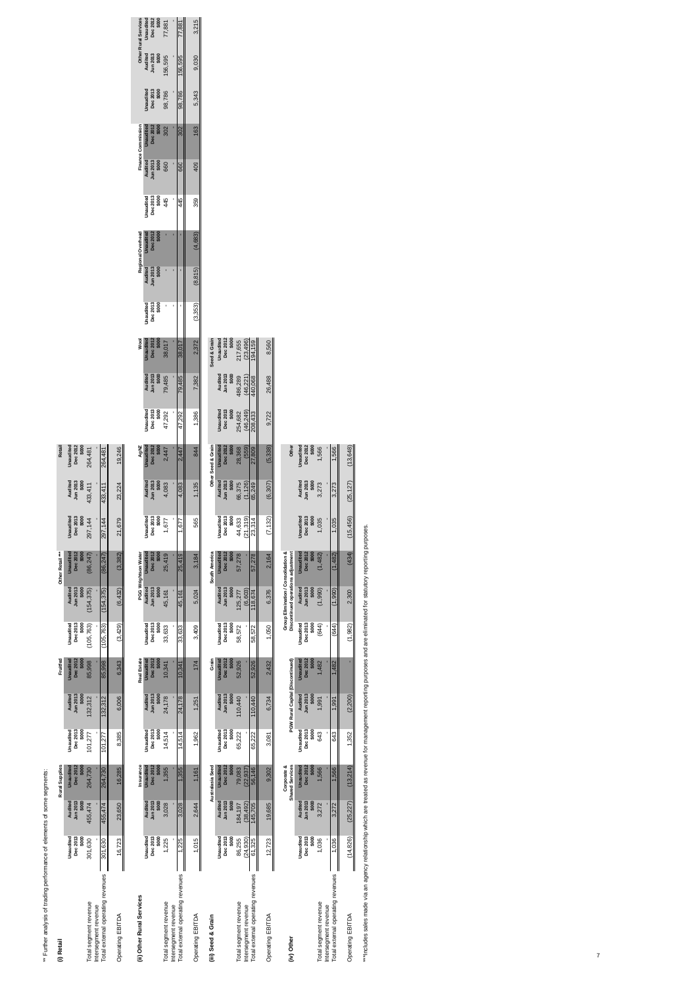\*\* Further analysis of trading performance of elements of some segments: <sup>\*\*</sup> Further analysis of trading performance of elements of some segments:<br>(i) Retail

| (i) Retail                                                                         |                                           |                                         | <b>Rural Supplies</b>                                                 |                                           |                                                         | Fruitfed                                        |                                              |                                                                                                  | Other Retail ***                          |                                           |                                         | Retail                                      |                                         |                                          |                                          |                       |                                          |                              |                       |                                                  |                       |                           |                                                    |                           |
|------------------------------------------------------------------------------------|-------------------------------------------|-----------------------------------------|-----------------------------------------------------------------------|-------------------------------------------|---------------------------------------------------------|-------------------------------------------------|----------------------------------------------|--------------------------------------------------------------------------------------------------|-------------------------------------------|-------------------------------------------|-----------------------------------------|---------------------------------------------|-----------------------------------------|------------------------------------------|------------------------------------------|-----------------------|------------------------------------------|------------------------------|-----------------------|--------------------------------------------------|-----------------------|---------------------------|----------------------------------------------------|---------------------------|
| Total segment revenue<br>Intersegment revenue                                      | Dec 2013<br>Unaudited<br>\$000<br>301,630 | Jun 2013<br>Audited<br>\$000<br>455,474 | Unaudited<br>Dec 2012<br>\$000<br>264,730                             | \$000<br>Unaudited<br>Dec 2013<br>101,277 | \$000<br>Audited<br>Jun 2013<br>132,312                 | <b>Unaudited</b><br>Dec 2012<br>\$000<br>85,998 | Dec 2013<br>Unaudited<br>\$000<br>(105, 763) | Jun 2013<br>\$000<br>Audited<br>(154, 375)                                                       | Unaudited<br>Dec 2012<br>\$000<br>86,247) | Dec 2013<br>Unaudited<br>\$000<br>297,144 | Jun 2013<br>\$000<br>Audited<br>433,411 | Dec 2012<br>Unaudited<br>\$000<br>264,481   |                                         |                                          |                                          |                       |                                          |                              |                       |                                                  |                       |                           |                                                    |                           |
| Total external operating revenues<br>Operating EBITDA                              | 16,723<br>301,630                         | 455,474<br>23,650                       | 16,285<br>264,730                                                     | 8,385<br>101,277                          | 6,006<br>132,312                                        | 6,343<br>85,998                                 | (105, 763)<br>(3, 429)                       | (154, 375)<br>(6, 432)                                                                           | (3, 382)<br>(86, 247)                     | 21,679<br>297,144                         | 23,224<br>433,411                       | 19,246<br>264,481                           |                                         |                                          |                                          |                       |                                          |                              |                       |                                                  |                       |                           |                                                    |                           |
| (ii) Other Rural Services                                                          | Dec 2013<br>Unaudited                     | Jun 2013<br><b>Audited</b>              | Insurance<br>Dec 2012<br>Unaudited                                    | Dec 2013<br>Unaudited                     | Audited<br>Jun 2013                                     | <b>Real Estate</b><br>Dec 2012<br>Unaudited     | Dec 2013<br>Unaudited                        | PGG Wrightson Water<br>Audited<br>Jun 2013                                                       | Dec 2012<br>Unaudited                     | Dec 2013<br>Unaudited                     | Jun 2013<br>Audited                     | Dec 2012<br>AgNZ<br>Unaudited               | Dec 2013<br>Unaudited                   | Jun 2013<br>Audited                      | Wool<br>Dec 2012<br>Unaudited            | Dec 2013<br>Unaudited | Regional Overhead<br>Audited<br>Jun 2013 | <b>Dec 2012</b><br>Unaudited | Dec 2013<br>Unaudited | <b>Finance Commission</b><br>Audited<br>Jun 2013 | Unauditec<br>Dec 2012 | Dec 2013<br>Unaudited     | <b>Other Rural Services</b><br>Audited<br>Jun 2013 | Dec 2012<br>Unaudited     |
| Total external operating revenues<br>Total segment revenue<br>Intersegment revenue | \$000<br>1,225<br>1,225                   | \$000<br>3,028<br>3,028                 | \$000<br>1,355<br>1,355                                               | \$000<br>14,514<br>14,514                 | \$000<br>24,178<br>24,178                               | \$000<br>10,341<br>10,341                       | \$OOC<br>33,633<br>33,633                    | \$000<br>45,161<br>45,161                                                                        | \$000<br>25,419<br>25,419                 | \$000<br>1,677<br>1,677                   | \$000<br>4,083<br>4,083                 | \$000<br>2,447<br>2,447                     | \$000<br>47,292<br>47,292               | \$000<br>79,485<br>79,485                | \$000<br>38,017<br>38,017                | \$000<br>ı            | \$000<br>ï                               | \$000<br>ı                   | \$000<br>445<br>445   | \$000<br>660<br>660                              | \$000<br>302<br>302   | \$000<br>98,786<br>98,786 | \$000<br>156,595<br>156,595                        | \$000<br>77,881<br>77,881 |
| Operating EBITDA                                                                   | 1,015                                     | 2,644                                   | 1,161                                                                 | 1,962                                     | 1,251                                                   | 174                                             | 3,409                                        | 5,024                                                                                            | 3,184                                     | 565                                       | 1,135                                   | 844                                         | 1,386                                   | 7,382                                    | 2,372                                    | (3,353)               | (8, 815)                                 | (4, 683)                     | 359                   | 409                                              | 163                   | 5,343                     | 9,030                                              | 3,215                     |
| (iii) Seed & Grain                                                                 | Dec 2013<br>Unaudited                     | Audited<br>Jun 2013                     | Australasia Seed<br>Unaudited<br>Dec 2012                             | Dec 2013<br>Unaudited                     | Audited<br>Jun 2013                                     | Grain<br>Unaudited<br>Dec 2012                  | Dec 2013<br>Unaudited                        | Jun 2013<br>Audited                                                                              | South America<br>Unaudited<br>Dec 2012    | Dec 2013<br>Unaudited                     | Jun 2013<br>Audited                     | Other Seed & Grain<br>Unaudited<br>Dec 2012 | Dec 2013<br>Unaudited                   | Jun 2013<br>Audited                      | Unaudited<br>Dec 2012<br>Seed & Grain    |                       |                                          |                              |                       |                                                  |                       |                           |                                                    |                           |
| Total external operating revenues<br>Total segment revenue<br>Intersegment revenue | \$000<br>(24, 930)<br>86,255<br>61,325    | \$000<br>(38, 492)<br>145,705<br>84,197 | \$000<br>56,146<br>79,083<br>22,937                                   | \$000<br>65,222<br>65,222                 | \$000<br>10,440<br>10,440                               | \$000<br>52,926<br>52,926                       | \$000<br>58,572<br>58,572                    | \$000<br>(6, 603)<br>125,277<br>18,674                                                           | \$000<br>57,278<br>57,278                 | \$000<br>(21, 319)<br>44,633<br>23,314    | \$000<br>(1, 126)<br>66,375<br>65,249   | \$000<br>(559)<br>28,368<br>27,809          | \$000<br>(46,249)<br>254,682<br>208,433 | \$000<br>186,289<br>(46, 221)<br>440,068 | \$000<br>217,655<br>(23, 496)<br>194,159 |                       |                                          |                              |                       |                                                  |                       |                           |                                                    |                           |
| Operating EBITDA                                                                   | 12,723                                    | 19,685                                  | 9,302                                                                 | 3,081                                     | 6,734                                                   | 2,432                                           | 1,050                                        | 6,376                                                                                            | 2,164                                     | (7, 132)                                  | (6, 307)                                | (5, 338)                                    | 9,722                                   | 26,488                                   | 8,560                                    |                       |                                          |                              |                       |                                                  |                       |                           |                                                    |                           |
| (iv) Other                                                                         | Dec 2013<br>Unaudited                     | Jun 2013<br>Audited                     | Corporate &<br><b>Shared Services</b><br><b>Unaudited</b><br>Dec 2012 | Unaudited<br>Dec 2013                     | PGW Rural Capital (Discontinued)<br>Audited<br>Jun 2013 | Dec 2012<br><b>Unaudited</b>                    | Unaudited<br>Dec 2013                        | Group Elimination / Consolidation &<br>Discontinued operations adjustment<br>Audited<br>Jun 2013 | Unaudited<br>Dec 2012                     | Unaudited<br>Dec 2013                     | Audited<br>Jun 2013                     | Dec 2012<br>Unaudited<br>Other              |                                         |                                          |                                          |                       |                                          |                              |                       |                                                  |                       |                           |                                                    |                           |
| Total external operating revenues<br>Total segment revenue<br>Intersegment revenue | \$000<br>1,036<br>1,036                   | \$000<br>3,272<br>3,272                 | \$000<br>1,566<br>1,566                                               | \$000<br>643<br>643                       | \$000<br>1,991<br>1,991                                 | \$000<br>,482<br>,482                           | \$000<br>(644)<br>(644)                      | \$000<br>(1,990)<br>(1,990)                                                                      | \$000<br>(1, 482)<br>(1,482)              | \$000<br>1,035<br>1,035                   | \$000<br>3,273<br>3,273                 | \$000<br>1,566<br>1,566                     |                                         |                                          |                                          |                       |                                          |                              |                       |                                                  |                       |                           |                                                    |                           |
| Operating EBITDA                                                                   | (14, 826)                                 | (25, 227)                               | (13, 214)                                                             | 1,352                                     | (2, 200)                                                |                                                 | (1, 982)                                     | 2.300                                                                                            | (434)                                     | (15, 456)                                 | (25, 127)                               | (13, 648)                                   |                                         |                                          |                                          |                       |                                          |                              |                       |                                                  |                       |                           |                                                    |                           |

""Includes sales made via an agency relationship which are treated as revenue for management reporting purposes and are eliminated for statutory reporting purposes. \*\*\*Includes sales made via an agency relationship which are treated as revenue for management reporting purposes and are eliminated for statutory reporting purposes.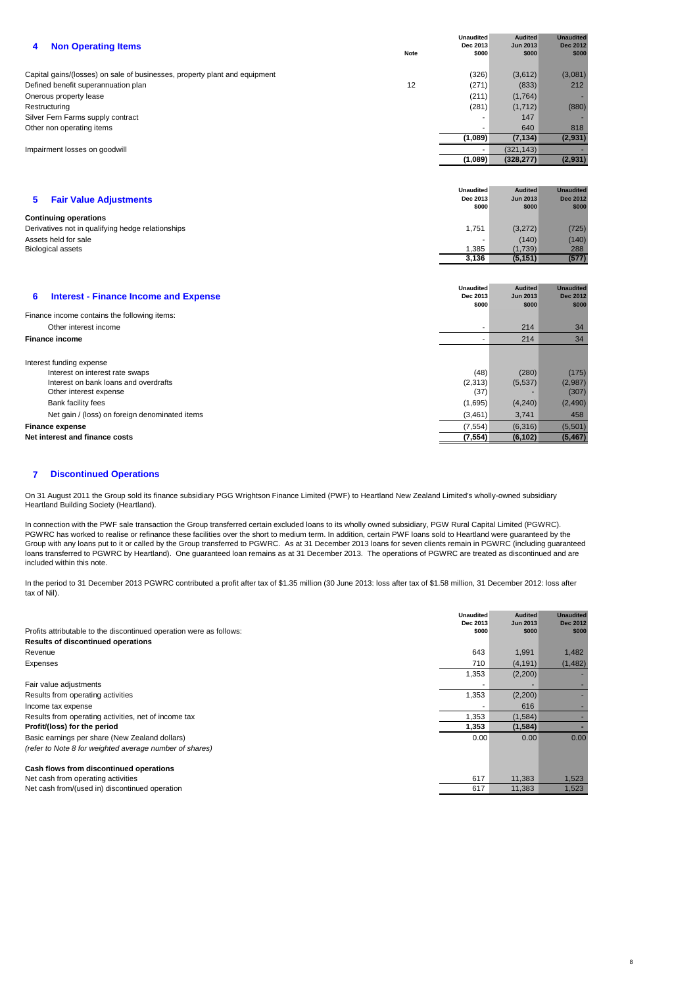| <b>Non Operating Items</b><br>4                                            | <b>Note</b> | <b>Unaudited</b><br>Dec 2013<br>\$000 | <b>Audited</b><br><b>Jun 2013</b><br>\$000 | <b>Unaudited</b><br><b>Dec 2012</b><br>\$000 |
|----------------------------------------------------------------------------|-------------|---------------------------------------|--------------------------------------------|----------------------------------------------|
|                                                                            |             |                                       |                                            |                                              |
| Capital gains/(losses) on sale of businesses, property plant and equipment |             | (326)                                 | (3,612)                                    | (3,081)                                      |
| Defined benefit superannuation plan                                        | 12          | (271)                                 | (833)                                      | 212                                          |
| Onerous property lease                                                     |             | (211)                                 | (1,764)                                    |                                              |
| Restructuring                                                              |             | (281)                                 | (1,712)                                    | (880)                                        |
| Silver Fern Farms supply contract                                          |             |                                       | 147                                        |                                              |
| Other non operating items                                                  |             |                                       | 640                                        | 818                                          |
|                                                                            |             | (1,089)                               | (7, 134)                                   | (2,931)                                      |
| Impairment losses on goodwill                                              |             | $\overline{\phantom{a}}$              | (321, 143)                                 |                                              |
|                                                                            |             | (1,089)                               | (328, 277)                                 | (2,931)                                      |
|                                                                            |             |                                       |                                            |                                              |
|                                                                            |             |                                       |                                            |                                              |
|                                                                            |             | <b>Unaudited</b>                      | <b>Audited</b>                             | <b>Unaudited</b>                             |

| <b>Fair Value Adjustments</b>                     | Dec 2013 | <b>Jun 2013</b> | <b>Dec 2012</b> |
|---------------------------------------------------|----------|-----------------|-----------------|
|                                                   | \$000    | \$000           | \$000           |
| <b>Continuing operations</b>                      |          |                 |                 |
| Derivatives not in qualifying hedge relationships | 1.751    | (3,272)         | (725)           |
| Assets held for sale                              |          | (140)           | (140)           |
| <b>Biological assets</b>                          | ,385     | (1,739)         | 288             |
|                                                   | 3.136    | (5, 151)        | (577)           |

| <b>Interest - Finance Income and Expense</b><br>6                                                                                                    | <b>Unaudited</b><br>Dec 2013<br>\$000 | <b>Audited</b><br><b>Jun 2013</b><br>\$000 | <b>Unaudited</b><br><b>Dec 2012</b><br>\$000 |
|------------------------------------------------------------------------------------------------------------------------------------------------------|---------------------------------------|--------------------------------------------|----------------------------------------------|
| Finance income contains the following items:                                                                                                         |                                       |                                            |                                              |
| Other interest income                                                                                                                                |                                       | 214                                        | 34                                           |
| <b>Finance income</b>                                                                                                                                |                                       | 214                                        | 34                                           |
| Interest funding expense<br>Interest on interest rate swaps<br>Interest on bank loans and overdrafts<br>Other interest expense<br>Bank facility fees | (48)<br>(2,313)<br>(37)<br>(1,695)    | (280)<br>(5, 537)<br>(4,240)               | (175)<br>(2,987)<br>(307)<br>(2,490)         |
| Net gain / (loss) on foreign denominated items                                                                                                       | (3, 461)                              | 3,741                                      | 458                                          |
| <b>Finance expense</b>                                                                                                                               | (7, 554)                              | (6,316)                                    | (5,501)                                      |
| Net interest and finance costs                                                                                                                       | (7, 554)                              | (6, 102)                                   | (5, 467)                                     |

#### **7 Discontinued Operations**

On 31 August 2011 the Group sold its finance subsidiary PGG Wrightson Finance Limited (PWF) to Heartland New Zealand Limited's wholly-owned subsidiary Heartland Building Society (Heartland).

In connection with the PWF sale transaction the Group transferred certain excluded loans to its wholly owned subsidiary, PGW Rural Capital Limited (PGWRC). PGWRC has worked to realise or refinance these facilities over the short to medium term. In addition, certain PWF loans sold to Heartland were guaranteed by the Group with any loans put to it or called by the Group transferred to PGWRC. As at 31 December 2013 loans for seven clients remain in PGWRC (including guaranteed loans transferred to PGWRC by Heartland). One guaranteed loan remains as at 31 December 2013. The operations of PGWRC are treated as discontinued and are included within this note.

In the period to 31 December 2013 PGWRC contributed a profit after tax of \$1.35 million (30 June 2013: loss after tax of \$1.58 million, 31 December 2012: loss after tax of Nil).

|                                                                     | <b>Unaudited</b><br>Dec 2013 | <b>Audited</b><br><b>Jun 2013</b> | <b>Unaudited</b><br><b>Dec 2012</b> |
|---------------------------------------------------------------------|------------------------------|-----------------------------------|-------------------------------------|
| Profits attributable to the discontinued operation were as follows: | \$000                        | \$000                             | \$000                               |
| <b>Results of discontinued operations</b>                           |                              |                                   |                                     |
| Revenue                                                             | 643                          | 1,991                             | 1,482                               |
| Expenses                                                            | 710                          | (4, 191)                          | (1, 482)                            |
|                                                                     | 1,353                        | (2,200)                           |                                     |
| Fair value adjustments                                              |                              |                                   |                                     |
| Results from operating activities                                   | 1,353                        | (2,200)                           |                                     |
| Income tax expense                                                  |                              | 616                               |                                     |
| Results from operating activities, net of income tax                | 1,353                        | (1, 584)                          |                                     |
| Profit/(loss) for the period                                        | 1,353                        | (1,584)                           |                                     |
| Basic earnings per share (New Zealand dollars)                      | 0.00                         | 0.00                              | 0.00                                |
| (refer to Note 8 for weighted average number of shares)             |                              |                                   |                                     |
| Cash flows from discontinued operations                             |                              |                                   |                                     |
| Net cash from operating activities                                  | 617                          | 11,383                            | 1,523                               |
| Net cash from/(used in) discontinued operation                      | 617                          | 11,383                            | 1,523                               |

8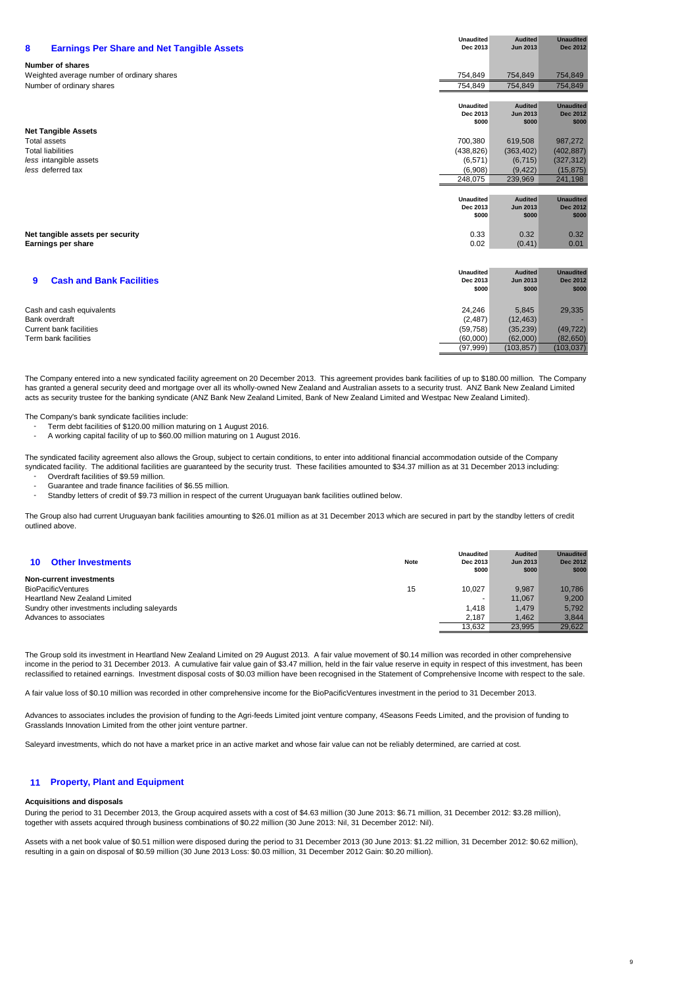| 8<br><b>Earnings Per Share and Net Tangible Assets</b> | <b>Unaudited</b><br>Dec 2013 | <b>Audited</b><br><b>Jun 2013</b> | <b>Unaudited</b><br><b>Dec 2012</b> |
|--------------------------------------------------------|------------------------------|-----------------------------------|-------------------------------------|
| <b>Number of shares</b>                                |                              |                                   |                                     |
| Weighted average number of ordinary shares             | 754,849                      | 754,849                           | 754,849                             |
| Number of ordinary shares                              | 754,849                      | 754.849                           | 754,849                             |
|                                                        |                              |                                   |                                     |
|                                                        | <b>Unaudited</b>             | <b>Audited</b>                    | <b>Unaudited</b>                    |
|                                                        | Dec 2013                     | <b>Jun 2013</b>                   | <b>Dec 2012</b>                     |
| <b>Net Tangible Assets</b>                             | \$000                        | \$000                             | \$000                               |
| <b>Total assets</b>                                    | 700,380                      | 619,508                           | 987,272                             |
| <b>Total liabilities</b>                               | (438, 826)                   | (363, 402)                        | (402, 887)                          |
| less intangible assets                                 | (6, 571)                     | (6, 715)                          | (327, 312)                          |
| less deferred tax                                      | (6,908)                      | (9.422)                           | (15, 875)                           |
|                                                        | 248,075                      | 239,969                           | 241,198                             |
|                                                        |                              |                                   |                                     |
|                                                        | <b>Unaudited</b>             | <b>Audited</b>                    | <b>Unaudited</b>                    |
|                                                        | Dec 2013                     | <b>Jun 2013</b>                   | <b>Dec 2012</b>                     |
|                                                        | \$000                        | \$000                             | \$000                               |
|                                                        | 0.33                         | 0.32                              | 0.32                                |
| Net tangible assets per security<br>Earnings per share | 0.02                         | (0.41)                            | 0.01                                |
|                                                        |                              |                                   |                                     |
|                                                        |                              |                                   |                                     |
|                                                        | <b>Unaudited</b>             | <b>Audited</b>                    | <b>Unaudited</b>                    |
| <b>Cash and Bank Facilities</b><br>9                   | Dec 2013                     | <b>Jun 2013</b>                   | <b>Dec 2012</b>                     |
|                                                        | \$000                        | \$000                             | \$000                               |
|                                                        |                              |                                   |                                     |
| Cash and cash equivalents                              | 24,246                       | 5,845                             | 29,335                              |
| <b>Bank overdraft</b>                                  | (2, 487)                     | (12, 463)                         |                                     |
| <b>Current bank facilities</b>                         | (59, 758)                    | (35, 239)                         | (49, 722)                           |
| Term bank facilities                                   | (60,000)                     | (62,000)                          | (82, 650)                           |
|                                                        | (97, 999)                    | (103, 857)                        | (103, 037)                          |

The Company entered into a new syndicated facility agreement on 20 December 2013. This agreement provides bank facilities of up to \$180.00 million. The Company has granted a general security deed and mortgage over all its wholly-owned New Zealand and Australian assets to a security trust. ANZ Bank New Zealand Limited acts as security trustee for the banking syndicate (ANZ Bank New Zealand Limited, Bank of New Zealand Limited and Westpac New Zealand Limited).

The Company's bank syndicate facilities include:

- Term debt facilities of \$120.00 million maturing on 1 August 2016.
- A working capital facility of up to \$60.00 million maturing on 1 August 2016.

The syndicated facility agreement also allows the Group, subject to certain conditions, to enter into additional financial accommodation outside of the Company syndicated facility. The additional facilities are guaranteed by the security trust. These facilities amounted to \$34.37 million as at 31 December 2013 including:

- Overdraft facilities of \$9.59 million.
- Guarantee and trade finance facilities of \$6.55 million.
- Standby letters of credit of \$9.73 million in respect of the current Uruguayan bank facilities outlined below.

The Group also had current Uruguayan bank facilities amounting to \$26.01 million as at 31 December 2013 which are secured in part by the standby letters of credit outlined above.

| <b>Other Investments</b><br>10               | <b>Note</b> | <b>Unaudited</b><br>Dec 2013<br>\$000 | <b>Audited</b><br><b>Jun 2013</b><br>\$000 | <b>Unaudited</b><br><b>Dec 2012</b><br>\$000 |
|----------------------------------------------|-------------|---------------------------------------|--------------------------------------------|----------------------------------------------|
| <b>Non-current investments</b>               |             |                                       |                                            |                                              |
| <b>BioPacificVentures</b>                    | 15          | 10.027                                | 9.987                                      | 10.786                                       |
| <b>Heartland New Zealand Limited</b>         |             |                                       | 11.067                                     | 9,200                                        |
| Sundry other investments including saleyards |             | 1.418                                 | 1.479                                      | 5.792                                        |
| Advances to associates                       |             | 2.187                                 | 1.462                                      | 3.844                                        |
|                                              |             | 13.632                                | 23,995                                     | 29,622                                       |

The Group sold its investment in Heartland New Zealand Limited on 29 August 2013. A fair value movement of \$0.14 million was recorded in other comprehensive income in the period to 31 December 2013. A cumulative fair value gain of \$3.47 million, held in the fair value reserve in equity in respect of this investment, has been reclassified to retained earnings. Investment disposal costs of \$0.03 million have been recognised in the Statement of Comprehensive Income with respect to the sale.

A fair value loss of \$0.10 million was recorded in other comprehensive income for the BioPacificVentures investment in the period to 31 December 2013.

Advances to associates includes the provision of funding to the Agri-feeds Limited joint venture company, 4Seasons Feeds Limited, and the provision of funding to Grasslands Innovation Limited from the other joint venture partner.

Saleyard investments, which do not have a market price in an active market and whose fair value can not be reliably determined, are carried at cost.

#### **11 Property, Plant and Equipment**

#### **Acquisitions and disposals**

During the period to 31 December 2013, the Group acquired assets with a cost of \$4.63 million (30 June 2013: \$6.71 million, 31 December 2012: \$3.28 million), together with assets acquired through business combinations of \$0.22 million (30 June 2013: Nil, 31 December 2012: Nil).

Assets with a net book value of \$0.51 million were disposed during the period to 31 December 2013 (30 June 2013: \$1.22 million, 31 December 2012: \$0.62 million), resulting in a gain on disposal of \$0.59 million (30 June 2013 Loss: \$0.03 million, 31 December 2012 Gain: \$0.20 million).

9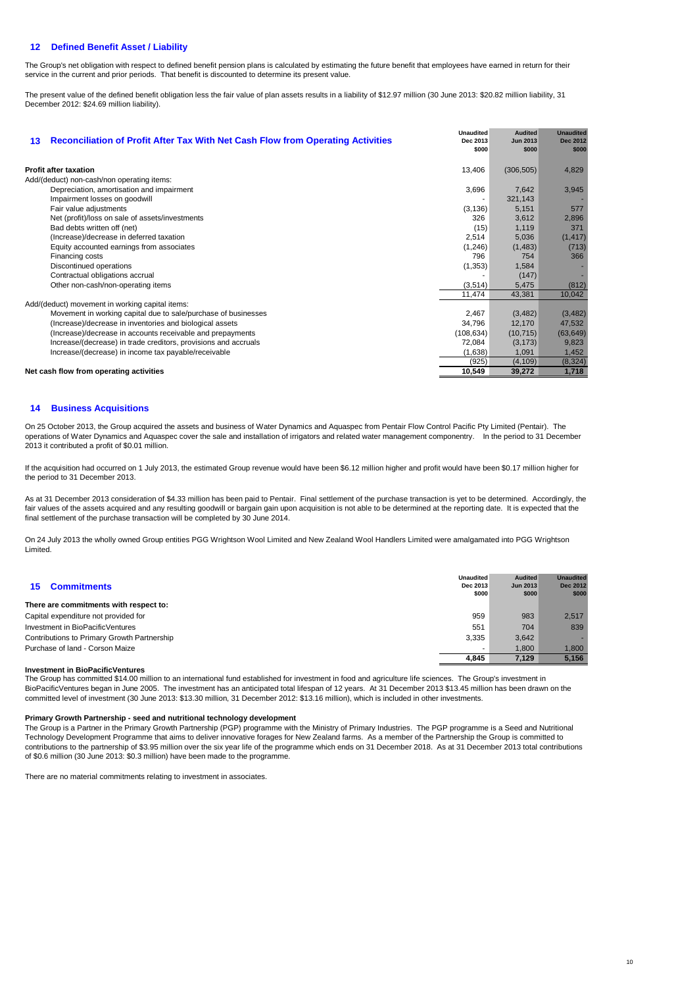# **12 Defined Benefit Asset / Liability**

The Group's net obligation with respect to defined benefit pension plans is calculated by estimating the future benefit that employees have earned in return for their service in the current and prior periods. That benefit is discounted to determine its present value.

The present value of the defined benefit obligation less the fair value of plan assets results in a liability of \$12.97 million (30 June 2013: \$20.82 million liability, 31 December 2012: \$24.69 million liability).

| 13                                      | <b>Reconciliation of Profit After Tax With Net Cash Flow from Operating Activities</b> | <b>Unaudited</b><br>Dec 2013<br>\$000 | <b>Audited</b><br><b>Jun 2013</b><br>\$000 | <b>Unaudited</b><br><b>Dec 2012</b><br>\$000 |
|-----------------------------------------|----------------------------------------------------------------------------------------|---------------------------------------|--------------------------------------------|----------------------------------------------|
| <b>Profit after taxation</b>            |                                                                                        | 13,406                                | (306, 505)                                 | 4,829                                        |
|                                         | Add/(deduct) non-cash/non operating items:                                             |                                       |                                            |                                              |
|                                         | Depreciation, amortisation and impairment                                              | 3,696                                 | 7,642                                      | 3,945                                        |
|                                         | Impairment losses on goodwill                                                          |                                       | 321,143                                    |                                              |
|                                         | Fair value adjustments                                                                 | (3, 136)                              | 5,151                                      | 577                                          |
|                                         | Net (profit)/loss on sale of assets/investments                                        | 326                                   | 3,612                                      | 2,896                                        |
|                                         | Bad debts written off (net)                                                            | (15)                                  | 1,119                                      | 371                                          |
|                                         | (Increase)/decrease in deferred taxation                                               | 2,514                                 | 5,036                                      | (1, 417)                                     |
|                                         | Equity accounted earnings from associates                                              | (1, 246)                              | (1, 483)                                   | (713)                                        |
|                                         | Financing costs                                                                        | 796                                   | 754                                        | 366                                          |
|                                         | Discontinued operations                                                                | (1, 353)                              | 1,584                                      |                                              |
|                                         | Contractual obligations accrual                                                        |                                       | (147)                                      |                                              |
|                                         | Other non-cash/non-operating items                                                     | (3, 514)                              | 5,475                                      | (812)                                        |
|                                         |                                                                                        | 11,474                                | 43,381                                     | 10,042                                       |
|                                         | Add/(deduct) movement in working capital items:                                        |                                       |                                            |                                              |
|                                         | Movement in working capital due to sale/purchase of businesses                         | 2,467                                 | (3, 482)                                   | (3, 482)                                     |
|                                         | (Increase)/decrease in inventories and biological assets                               | 34,796                                | 12,170                                     | 47,532                                       |
|                                         | (Increase)/decrease in accounts receivable and prepayments                             | (108, 634)                            | (10, 715)                                  | (63, 649)                                    |
|                                         | Increase/(decrease) in trade creditors, provisions and accruals                        | 72,084                                | (3, 173)                                   | 9,823                                        |
|                                         | Increase/(decrease) in income tax payable/receivable                                   | (1,638)                               | 1,091                                      | 1,452                                        |
|                                         |                                                                                        | (925)                                 | (4, 109)                                   | (8, 324)                                     |
| Net cash flow from operating activities |                                                                                        | 10,549                                | 39,272                                     | 1,718                                        |

# **14 Business Acquisitions**

On 25 October 2013, the Group acquired the assets and business of Water Dynamics and Aquaspec from Pentair Flow Control Pacific Pty Limited (Pentair). The operations of Water Dynamics and Aquaspec cover the sale and installation of irrigators and related water management componentry. In the period to 31 December 2013 it contributed a profit of \$0.01 million.

If the acquisition had occurred on 1 July 2013, the estimated Group revenue would have been \$6.12 million higher and profit would have been \$0.17 million higher for the period to 31 December 2013.

As at 31 December 2013 consideration of \$4.33 million has been paid to Pentair. Final settlement of the purchase transaction is yet to be determined. Accordingly, the fair values of the assets acquired and any resulting goodwill or bargain gain upon acquisition is not able to be determined at the reporting date. It is expected that the final settlement of the purchase transaction will be completed by 30 June 2014.

On 24 July 2013 the wholly owned Group entities PGG Wrightson Wool Limited and New Zealand Wool Handlers Limited were amalgamated into PGG Wrightson Limited.

| <b>Commitments</b><br>15                    | <b>Unaudited</b><br>Dec 2013<br>\$000 | <b>Audited</b><br><b>Jun 2013</b><br>\$000 | <b>Unaudited</b><br><b>Dec 2012</b><br>\$000 |
|---------------------------------------------|---------------------------------------|--------------------------------------------|----------------------------------------------|
| There are commitments with respect to:      |                                       |                                            |                                              |
| Capital expenditure not provided for        |                                       | 983                                        | 2.517                                        |
| Investment in BioPacificVentures            |                                       | 704                                        | 839                                          |
| Contributions to Primary Growth Partnership |                                       | 3.642                                      |                                              |
| Purchase of land - Corson Maize             |                                       | 1.800                                      | 1,800                                        |
|                                             | 4.845                                 | 7.129                                      | 5.156                                        |

#### **Investment in BioPacificVentures**

The Group has committed \$14.00 million to an international fund established for investment in food and agriculture life sciences. The Group's investment in BioPacificVentures began in June 2005. The investment has an anticipated total lifespan of 12 years. At 31 December 2013 \$13.45 million has been drawn on the committed level of investment (30 June 2013: \$13.30 million, 31 December 2012: \$13.16 million), which is included in other investments.

#### **Primary Growth Partnership - seed and nutritional technology development**

The Group is a Partner in the Primary Growth Partnership (PGP) programme with the Ministry of Primary Industries. The PGP programme is a Seed and Nutritional Technology Development Programme that aims to deliver innovative forages for New Zealand farms. As a member of the Partnership the Group is committed to contributions to the partnership of \$3.95 million over the six year life of the programme which ends on 31 December 2018. As at 31 December 2013 total contributions of \$0.6 million (30 June 2013: \$0.3 million) have been made to the programme.

There are no material commitments relating to investment in associates.